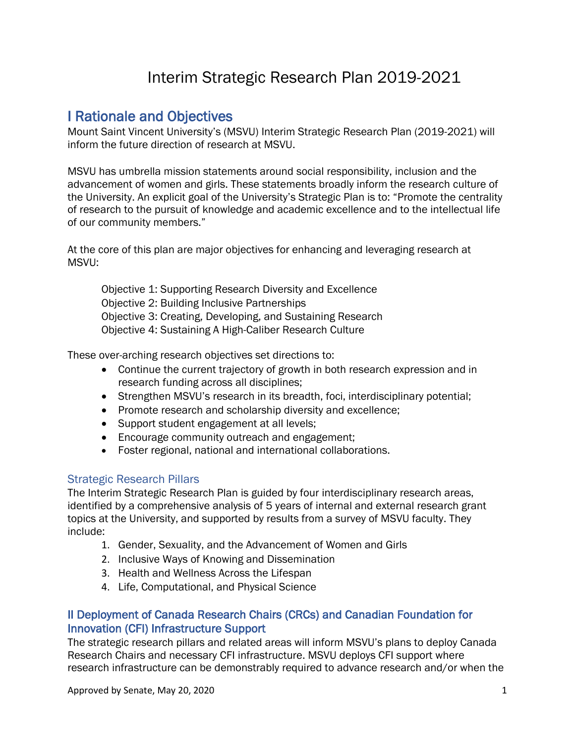# Interim Strategic Research Plan 2019-2021

I Rationale and Objectives<br>Mount Saint Vincent University's (MSVU) Interim Strategic Research Plan (2019-2021) will inform the future direction of research at MSVU.

MSVU has umbrella mission statements around social responsibility, inclusion and the advancement of women and girls. These statements broadly inform the research culture of the University. An explicit goal of the University's Strategic Plan is to: "Promote the centrality of research to the pursuit of knowledge and academic excellence and to the intellectual life of our community members."

At the core of this plan are major objectives for enhancing and leveraging research at MSVU:

Objective 1: Supporting Research Diversity and Excellence Objective 2: Building Inclusive Partnerships Objective 3: Creating, Developing, and Sustaining Research Objective 4: Sustaining A High-Caliber Research Culture

These over-arching research objectives set directions to:

- Continue the current trajectory of growth in both research expression and in research funding across all disciplines;
- Strengthen MSVU's research in its breadth, foci, interdisciplinary potential;
- Promote research and scholarship diversity and excellence;
- Support student engagement at all levels;
- Encourage community outreach and engagement;
- Foster regional, national and international collaborations.

## Strategic Research Pillars

The Interim Strategic Research Plan is guided by four interdisciplinary research areas, identified by a comprehensive analysis of 5 years of internal and external research grant topics at the University, and supported by results from a survey of MSVU faculty. They include:

- 1. Gender, Sexuality, and the Advancement of Women and Girls
- 2. Inclusive Ways of Knowing and Dissemination
- 3. Health and Wellness Across the Lifespan
- 4. Life, Computational, and Physical Science

## II Deployment of Canada Research Chairs (CRCs) and Canadian Foundation for Innovation (CFI) Infrastructure Support

The strategic research pillars and related areas will inform MSVU's plans to deploy Canada Research Chairs and necessary CFI infrastructure. MSVU deploys CFI support where research infrastructure can be demonstrably required to advance research and/or when the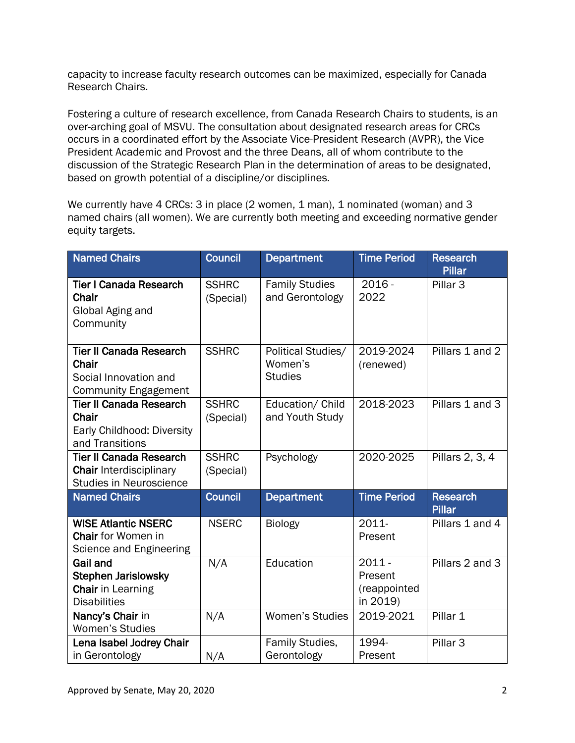capacity to increase faculty research outcomes can be maximized, especially for Canada Research Chairs.

Fostering a culture of research excellence, from Canada Research Chairs to students, is an over-arching goal of MSVU. The consultation about designated research areas for CRCs occurs in a coordinated effort by the Associate Vice-President Research (AVPR), the Vice President Academic and Provost and the three Deans, all of whom contribute to the discussion of the Strategic Research Plan in the determination of areas to be designated, based on growth potential of a discipline/or disciplines.

We currently have 4 CRCs: 3 in place (2 women, 1 man), 1 nominated (woman) and 3 named chairs (all women). We are currently both meeting and exceeding normative gender equity targets.

| <b>Named Chairs</b>                                                                                | <b>Council</b>            | <b>Department</b>                               | <b>Time Period</b>                              | <b>Research</b><br><b>Pillar</b> |
|----------------------------------------------------------------------------------------------------|---------------------------|-------------------------------------------------|-------------------------------------------------|----------------------------------|
| <b>Tier I Canada Research</b><br>Chair<br>Global Aging and<br>Community                            | <b>SSHRC</b><br>(Special) | <b>Family Studies</b><br>and Gerontology        | $2016 -$<br>2022                                | Pillar <sub>3</sub>              |
| <b>Tier II Canada Research</b><br>Chair<br>Social Innovation and<br><b>Community Engagement</b>    | <b>SSHRC</b>              | Political Studies/<br>Women's<br><b>Studies</b> | 2019-2024<br>(renewed)                          | Pillars 1 and 2                  |
| <b>Tier II Canada Research</b><br>Chair<br>Early Childhood: Diversity<br>and Transitions           | <b>SSHRC</b><br>(Special) | Education/ Child<br>and Youth Study             | 2018-2023                                       | Pillars 1 and 3                  |
| <b>Tier II Canada Research</b><br><b>Chair Interdisciplinary</b><br><b>Studies in Neuroscience</b> | <b>SSHRC</b><br>(Special) | Psychology                                      | 2020-2025                                       | Pillars 2, 3, 4                  |
| <b>Named Chairs</b>                                                                                | <b>Council</b>            | <b>Department</b>                               | <b>Time Period</b>                              | <b>Research</b><br><b>Pillar</b> |
| <b>WISE Atlantic NSERC</b><br><b>Chair</b> for Women in<br>Science and Engineering                 | <b>NSERC</b>              | <b>Biology</b>                                  | 2011-<br>Present                                | Pillars 1 and 4                  |
| <b>Gail and</b><br><b>Stephen Jarislowsky</b><br>Chair in Learning<br><b>Disabilities</b>          | N/A                       | Education                                       | $2011 -$<br>Present<br>(reappointed<br>in 2019) | Pillars 2 and 3                  |
| Nancy's Chair in<br><b>Women's Studies</b>                                                         | N/A                       | <b>Women's Studies</b>                          | 2019-2021                                       | Pillar 1                         |
| Lena Isabel Jodrey Chair<br>in Gerontology                                                         | N/A                       | Family Studies,<br>Gerontology                  | 1994-<br>Present                                | Pillar <sub>3</sub>              |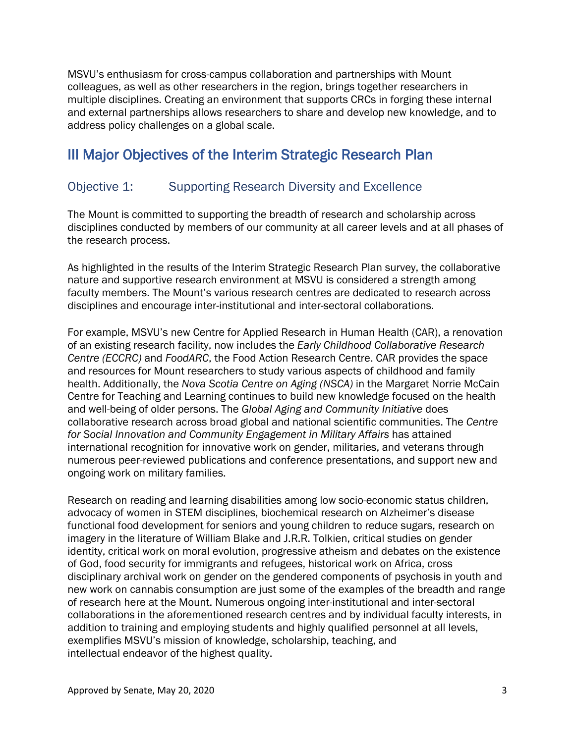MSVU's enthusiasm for cross-campus collaboration and partnerships with Mount colleagues, as well as other researchers in the region, brings together researchers in multiple disciplines. Creating an environment that supports CRCs in forging these internal and external partnerships allows researchers to share and develop new knowledge, and to address policy challenges on a global scale.

# III Major Objectives of the Interim Strategic Research Plan

## Objective 1: Supporting Research Diversity and Excellence

The Mount is committed to supporting the breadth of research and scholarship across disciplines conducted by members of our community at all career levels and at all phases of the research process.

As highlighted in the results of the Interim Strategic Research Plan survey, the collaborative nature and supportive research environment at MSVU is considered a strength among faculty members. The Mount's various research centres are dedicated to research across disciplines and encourage inter-institutional and inter-sectoral collaborations.

For example, MSVU's new Centre for Applied Research in Human Health (CAR), a renovation of an existing research facility, now includes the *Early Childhood Collaborative Research Centre (ECCRC)* and *FoodARC*, the Food Action Research Centre. CAR provides the space and resources for Mount researchers to study various aspects of childhood and family health. Additionally, the *Nova Scotia Centre on Aging (NSCA)* in the Margaret Norrie McCain Centre for Teaching and Learning continues to build new knowledge focused on the health and well-being of older persons. The *Global Aging and Community Initiative* does collaborative research across broad global and national scientific communities. The *Centre for Social Innovation and Community Engagement in Military Affairs* has attained international recognition for innovative work on gender, militaries, and veterans through numerous peer-reviewed publications and conference presentations, and support new and ongoing work on military families.

Research on reading and learning disabilities among low socio-economic status children, advocacy of women in STEM disciplines, biochemical research on Alzheimer's disease functional food development for seniors and young children to reduce sugars, research on imagery in the literature of William Blake and J.R.R. Tolkien, critical studies on gender identity, critical work on moral evolution, progressive atheism and debates on the existence of God, food security for immigrants and refugees, historical work on Africa, cross disciplinary archival work on gender on the gendered components of psychosis in youth and new work on cannabis consumption are just some of the examples of the breadth and range of research here at the Mount. Numerous ongoing inter-institutional and inter-sectoral collaborations in the aforementioned research centres and by individual faculty interests, in addition to training and employing students and highly qualified personnel at all levels, exemplifies MSVU's mission of knowledge, scholarship, teaching, and intellectual endeavor of the highest quality.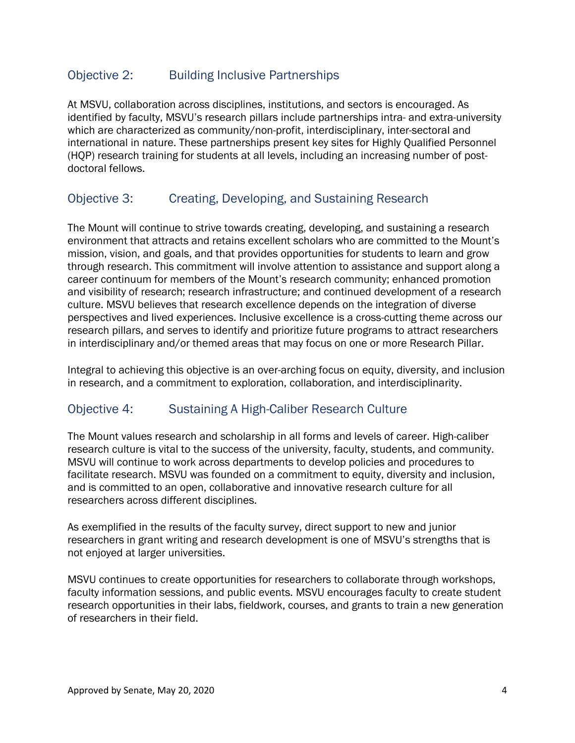## Objective 2: Building Inclusive Partnerships

At MSVU, collaboration across disciplines, institutions, and sectors is encouraged. As identified by faculty, MSVU's research pillars include partnerships intra- and extra-university which are characterized as community/non-profit, interdisciplinary, inter-sectoral and international in nature. These partnerships present key sites for Highly Qualified Personnel (HQP) research training for students at all levels, including an increasing number of postdoctoral fellows.

## Objective 3: Creating, Developing, and Sustaining Research

The Mount will continue to strive towards creating, developing, and sustaining a research environment that attracts and retains excellent scholars who are committed to the Mount's mission, vision, and goals, and that provides opportunities for students to learn and grow through research. This commitment will involve attention to assistance and support along a career continuum for members of the Mount's research community; enhanced promotion and visibility of research; research infrastructure; and continued development of a research culture. MSVU believes that research excellence depends on the integration of diverse perspectives and lived experiences. Inclusive excellence is a cross-cutting theme across our research pillars, and serves to identify and prioritize future programs to attract researchers in interdisciplinary and/or themed areas that may focus on one or more Research Pillar.

Integral to achieving this objective is an over-arching focus on equity, diversity, and inclusion in research, and a commitment to exploration, collaboration, and interdisciplinarity.

## Objective 4: Sustaining A High-Caliber Research Culture

The Mount values research and scholarship in all forms and levels of career. High-caliber research culture is vital to the success of the university, faculty, students, and community. MSVU will continue to work across departments to develop policies and procedures to facilitate research. MSVU was founded on a commitment to equity, diversity and inclusion, and is committed to an open, collaborative and innovative research culture for all researchers across different disciplines.

As exemplified in the results of the faculty survey, direct support to new and junior researchers in grant writing and research development is one of MSVU's strengths that is not enjoyed at larger universities.

MSVU continues to create opportunities for researchers to collaborate through workshops, faculty information sessions, and public events. MSVU encourages faculty to create student research opportunities in their labs, fieldwork, courses, and grants to train a new generation of researchers in their field.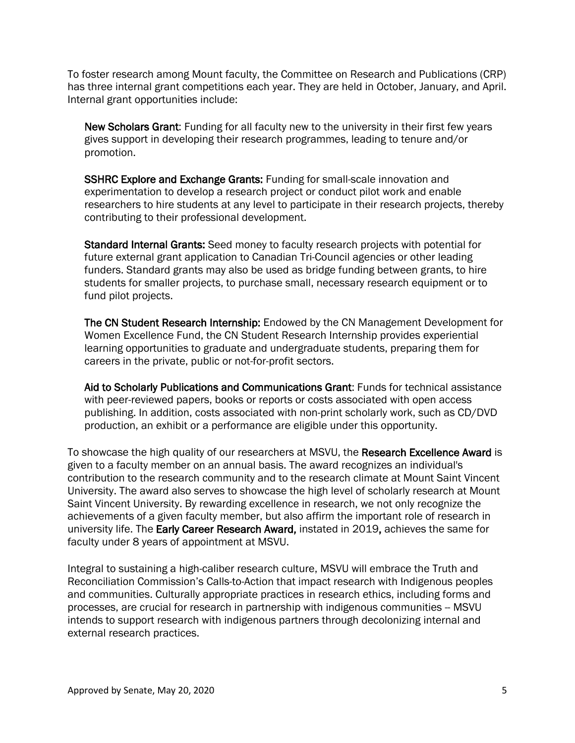To foster research among Mount faculty, the Committee on Research and Publications (CRP) has three internal grant competitions each year. They are held in October, January, and April. Internal grant opportunities include:

New Scholars Grant: Funding for all faculty new to the university in their first few years gives support in developing their research programmes, leading to tenure and/or promotion.

SSHRC Explore and Exchange Grants: Funding for small-scale innovation and experimentation to develop a research project or conduct pilot work and enable researchers to hire students at any level to participate in their research projects, thereby contributing to their professional development.

Standard Internal Grants: Seed money to faculty research projects with potential for future external grant application to Canadian Tri-Council agencies or other leading funders. Standard grants may also be used as bridge funding between grants, to hire students for smaller projects, to purchase small, necessary research equipment or to fund pilot projects.

The CN Student Research Internship: Endowed by the CN Management Development for Women Excellence Fund, the CN Student Research Internship provides experiential learning opportunities to graduate and undergraduate students, preparing them for careers in the private, public or not-for-profit sectors.

Aid to Scholarly Publications and Communications Grant: Funds for technical assistance with peer-reviewed papers, books or reports or costs associated with open access publishing. In addition, costs associated with non-print scholarly work, such as CD/DVD production, an exhibit or a performance are eligible under this opportunity.

To showcase the high quality of our researchers at MSVU, the Research Excellence Award is given to a faculty member on an annual basis. The award recognizes an individual's contribution to the research community and to the research climate at Mount Saint Vincent University. The award also serves to showcase the high level of scholarly research at Mount Saint Vincent University. By rewarding excellence in research, we not only recognize the achievements of a given faculty member, but also affirm the important role of research in university life. The Early Career Research Award, instated in 2019, achieves the same for faculty under 8 years of appointment at MSVU.

Integral to sustaining a high-caliber research culture, MSVU will embrace the Truth and Reconciliation Commission's Calls-to-Action that impact research with Indigenous peoples and communities. Culturally appropriate practices in research ethics, including forms and processes, are crucial for research in partnership with indigenous communities -- MSVU intends to support research with indigenous partners through decolonizing internal and external research practices.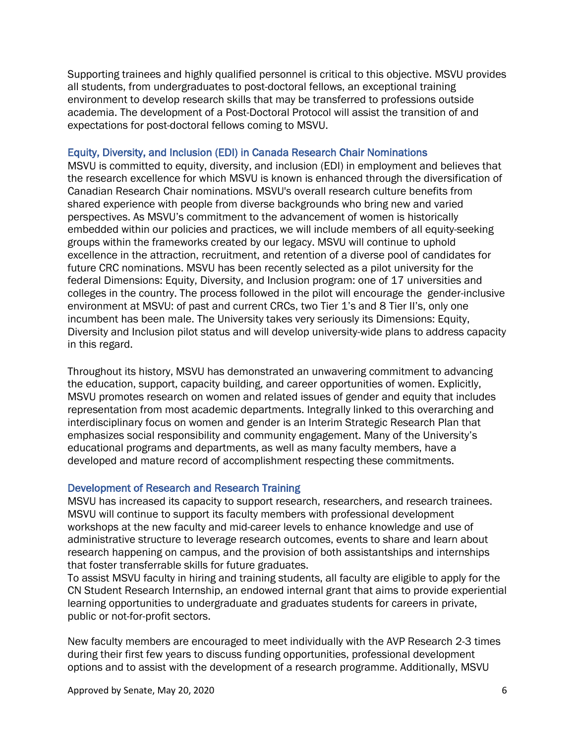Supporting trainees and highly qualified personnel is critical to this objective. MSVU provides all students, from undergraduates to post-doctoral fellows, an exceptional training environment to develop research skills that may be transferred to professions outside academia. The development of a Post-Doctoral Protocol will assist the transition of and expectations for post-doctoral fellows coming to MSVU.

#### Equity, Diversity, and Inclusion (EDI) in Canada Research Chair Nominations

MSVU is committed to equity, diversity, and inclusion (EDI) in employment and believes that the research excellence for which MSVU is known is enhanced through the diversification of Canadian Research Chair nominations. MSVU's overall research culture benefits from shared experience with people from diverse backgrounds who bring new and varied perspectives. As MSVU's commitment to the advancement of women is historically embedded within our policies and practices, we will include members of all equity-seeking groups within the frameworks created by our legacy. MSVU will continue to uphold excellence in the attraction, recruitment, and retention of a diverse pool of candidates for future CRC nominations. MSVU has been recently selected as a pilot university for the federal Dimensions: Equity, Diversity, and Inclusion program: one of 17 universities and colleges in the country. The process followed in the pilot will encourage the gender-inclusive environment at MSVU: of past and current CRCs, two Tier 1's and 8 Tier II's, only one incumbent has been male. The University takes very seriously its Dimensions: Equity, Diversity and Inclusion pilot status and will develop university-wide plans to address capacity in this regard.

Throughout its history, MSVU has demonstrated an unwavering commitment to advancing the education, support, capacity building, and career opportunities of women. Explicitly, MSVU promotes research on women and related issues of gender and equity that includes representation from most academic departments. Integrally linked to this overarching and interdisciplinary focus on women and gender is an Interim Strategic Research Plan that emphasizes social responsibility and community engagement. Many of the University's educational programs and departments, as well as many faculty members, have a developed and mature record of accomplishment respecting these commitments.

### Development of Research and Research Training

MSVU has increased its capacity to support research, researchers, and research trainees. MSVU will continue to support its faculty members with professional development workshops at the new faculty and mid-career levels to enhance knowledge and use of administrative structure to leverage research outcomes, events to share and learn about research happening on campus, and the provision of both assistantships and internships that foster transferrable skills for future graduates.

To assist MSVU faculty in hiring and training students, all faculty are eligible to apply for the CN Student Research Internship, an endowed internal grant that aims to provide experiential learning opportunities to undergraduate and graduates students for careers in private, public or not-for-profit sectors.

New faculty members are encouraged to meet individually with the AVP Research 2-3 times during their first few years to discuss funding opportunities, professional development options and to assist with the development of a research programme. Additionally, MSVU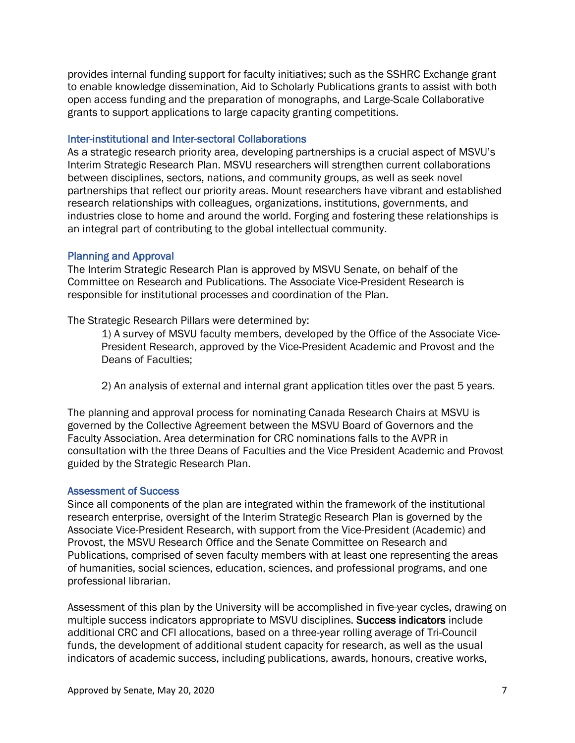provides internal funding support for faculty initiatives; such as the SSHRC Exchange grant to enable knowledge dissemination, Aid to Scholarly Publications grants to assist with both open access funding and the preparation of monographs, and Large-Scale Collaborative grants to support applications to large capacity granting competitions.

#### Inter-institutional and Inter-sectoral Collaborations

As a strategic research priority area, developing partnerships is a crucial aspect of MSVU's Interim Strategic Research Plan. MSVU researchers will strengthen current collaborations between disciplines, sectors, nations, and community groups, as well as seek novel partnerships that reflect our priority areas. Mount researchers have vibrant and established research relationships with colleagues, organizations, institutions, governments, and industries close to home and around the world. Forging and fostering these relationships is an integral part of contributing to the global intellectual community.

#### Planning and Approval

The Interim Strategic Research Plan is approved by MSVU Senate, on behalf of the Committee on Research and Publications. The Associate Vice-President Research is responsible for institutional processes and coordination of the Plan.

The Strategic Research Pillars were determined by:

1) A survey of MSVU faculty members, developed by the Office of the Associate Vice-President Research, approved by the Vice-President Academic and Provost and the Deans of Faculties;

2) An analysis of external and internal grant application titles over the past 5 years.

The planning and approval process for nominating Canada Research Chairs at MSVU is governed by the Collective Agreement between the MSVU Board of Governors and the Faculty Association. Area determination for CRC nominations falls to the AVPR in consultation with the three Deans of Faculties and the Vice President Academic and Provost guided by the Strategic Research Plan.

#### Assessment of Success

Since all components of the plan are integrated within the framework of the institutional research enterprise, oversight of the Interim Strategic Research Plan is governed by the Associate Vice-President Research, with support from the Vice-President (Academic) and Provost, the MSVU Research Office and the Senate Committee on Research and Publications, comprised of seven faculty members with at least one representing the areas of humanities, social sciences, education, sciences, and professional programs, and one professional librarian.

Assessment of this plan by the University will be accomplished in five-year cycles, drawing on multiple success indicators appropriate to MSVU disciplines. Success indicators include additional CRC and CFI allocations, based on a three-year rolling average of Tri-Council funds, the development of additional student capacity for research, as well as the usual indicators of academic success, including publications, awards, honours, creative works,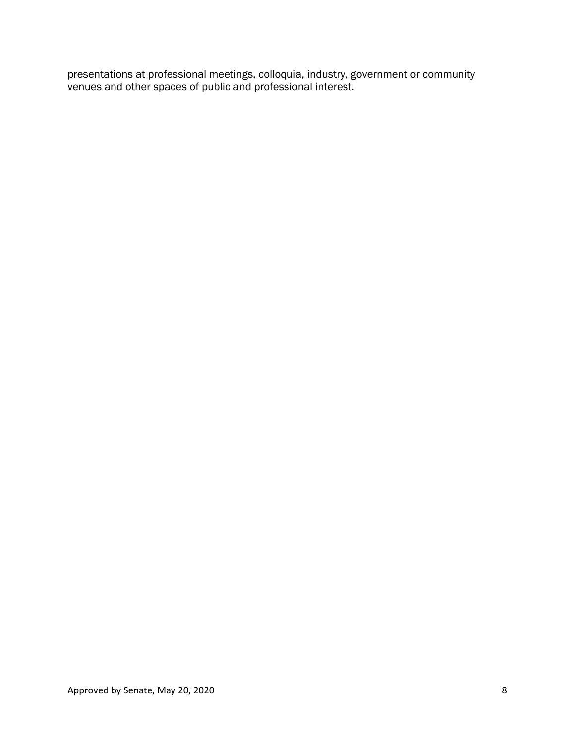presentations at professional meetings, colloquia, industry, government or community venues and other spaces of public and professional interest.